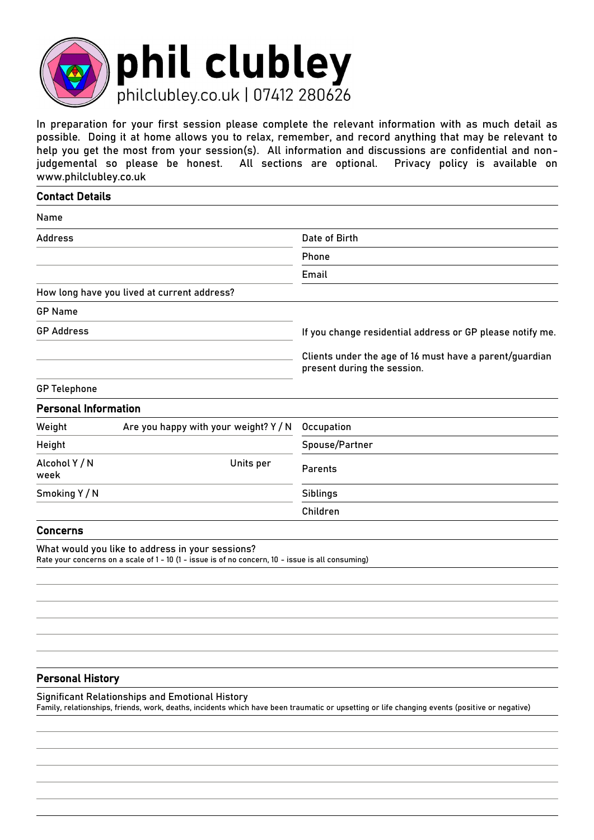

In preparation for your first session please complete the relevant information with as much detail as possible. Doing it at home allows you to relax, remember, and record anything that may be relevant to help you get the most from your session(s). All information and discussions are confidential and nonjudgemental so please be honest. All sections are optional. Privacy policy is available on www.philclubley.co.uk

## Contact Details

| Name                        |                                                                                                                                                       |                                                                                        |
|-----------------------------|-------------------------------------------------------------------------------------------------------------------------------------------------------|----------------------------------------------------------------------------------------|
| <b>Address</b>              |                                                                                                                                                       | Date of Birth                                                                          |
|                             |                                                                                                                                                       | Phone                                                                                  |
|                             |                                                                                                                                                       | Email                                                                                  |
|                             | How long have you lived at current address?                                                                                                           |                                                                                        |
| <b>GP Name</b>              |                                                                                                                                                       |                                                                                        |
| <b>GP Address</b>           |                                                                                                                                                       | If you change residential address or GP please notify me.                              |
|                             |                                                                                                                                                       | Clients under the age of 16 must have a parent/guardian<br>present during the session. |
| <b>GP Telephone</b>         |                                                                                                                                                       |                                                                                        |
| <b>Personal Information</b> |                                                                                                                                                       |                                                                                        |
| Weight                      | Are you happy with your weight? Y / N                                                                                                                 | Occupation                                                                             |
| Height                      |                                                                                                                                                       | Spouse/Partner                                                                         |
| Alcohol Y / N<br>week       | Units per                                                                                                                                             | Parents                                                                                |
| Smoking Y / N               |                                                                                                                                                       | Siblings                                                                               |
|                             |                                                                                                                                                       | Children                                                                               |
| <b>Concerns</b>             |                                                                                                                                                       |                                                                                        |
|                             | What would you like to address in your sessions?<br>Rate your concerns on a scale of 1 - 10 (1 - issue is of no concern, 10 - issue is all consuming) |                                                                                        |
|                             |                                                                                                                                                       |                                                                                        |
|                             |                                                                                                                                                       |                                                                                        |
|                             |                                                                                                                                                       |                                                                                        |

## Personal History

Significant Relationships and Emotional History Family, relationships, friends, work, deaths, incidents which have been traumatic or upsetting or life changing events (positive or negative)